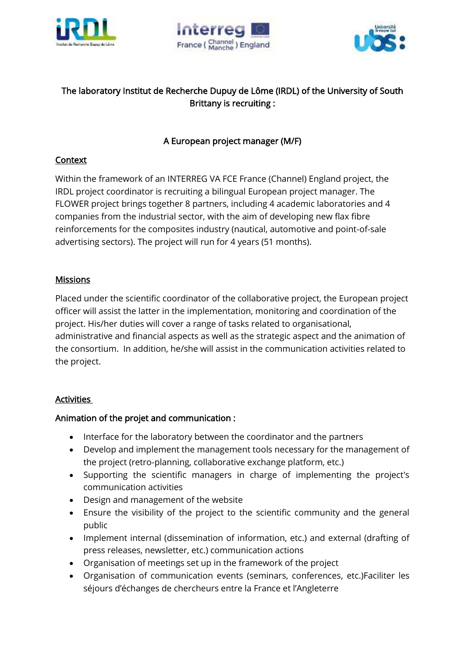





# The laboratory Institut de Recherche Dupuy de Lôme (IRDL) of the University of South Brittany is recruiting :

## A European project manager (M/F)

#### **Context**

Within the framework of an INTERREG VA FCE France (Channel) England project, the IRDL project coordinator is recruiting a bilingual European project manager. The FLOWER project brings together 8 partners, including 4 academic laboratories and 4 companies from the industrial sector, with the aim of developing new flax fibre reinforcements for the composites industry (nautical, automotive and point-of-sale advertising sectors). The project will run for 4 years (51 months).

#### **Missions**

Placed under the scientific coordinator of the collaborative project, the European project officer will assist the latter in the implementation, monitoring and coordination of the project. His/her duties will cover a range of tasks related to organisational, administrative and financial aspects as well as the strategic aspect and the animation of the consortium. In addition, he/she will assist in the communication activities related to the project.

### **Activities**

### Animation of the projet and communication :

- Interface for the laboratory between the coordinator and the partners
- Develop and implement the management tools necessary for the management of the project (retro-planning, collaborative exchange platform, etc.)
- Supporting the scientific managers in charge of implementing the project's communication activities
- Design and management of the website
- Ensure the visibility of the project to the scientific community and the general public
- Implement internal (dissemination of information, etc.) and external (drafting of press releases, newsletter, etc.) communication actions
- Organisation of meetings set up in the framework of the project
- Organisation of communication events (seminars, conferences, etc.)Faciliter les séjours d'échanges de chercheurs entre la France et l'Angleterre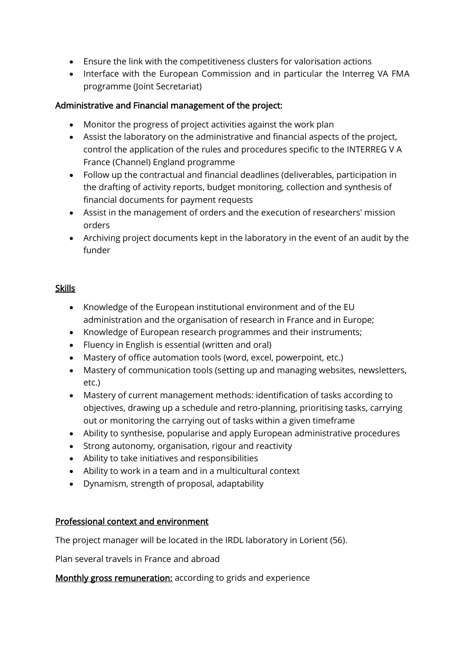- Ensure the link with the competitiveness clusters for valorisation actions
- Interface with the European Commission and in particular the Interreg VA FMA programme (Joint Secretariat)

## Administrative and Financial management of the project:

- Monitor the progress of project activities against the work plan
- Assist the laboratory on the administrative and financial aspects of the project, control the application of the rules and procedures specific to the INTERREG V A France (Channel) England programme
- Follow up the contractual and financial deadlines (deliverables, participation in the drafting of activity reports, budget monitoring, collection and synthesis of financial documents for payment requests
- Assist in the management of orders and the execution of researchers' mission orders
- Archiving project documents kept in the laboratory in the event of an audit by the funder

### **Skills**

- Knowledge of the European institutional environment and of the EU administration and the organisation of research in France and in Europe;
- Knowledge of European research programmes and their instruments;
- Fluency in English is essential (written and oral)
- Mastery of office automation tools (word, excel, powerpoint, etc.)
- Mastery of communication tools (setting up and managing websites, newsletters, etc.)
- Mastery of current management methods: identification of tasks according to objectives, drawing up a schedule and retro-planning, prioritising tasks, carrying out or monitoring the carrying out of tasks within a given timeframe
- Ability to synthesise, popularise and apply European administrative procedures
- Strong autonomy, organisation, rigour and reactivity
- Ability to take initiatives and responsibilities
- Ability to work in a team and in a multicultural context
- Dynamism, strength of proposal, adaptability

### Professional context and environment

The project manager will be located in the IRDL laboratory in Lorient (56).

Plan several travels in France and abroad

Monthly gross remuneration: according to grids and experience